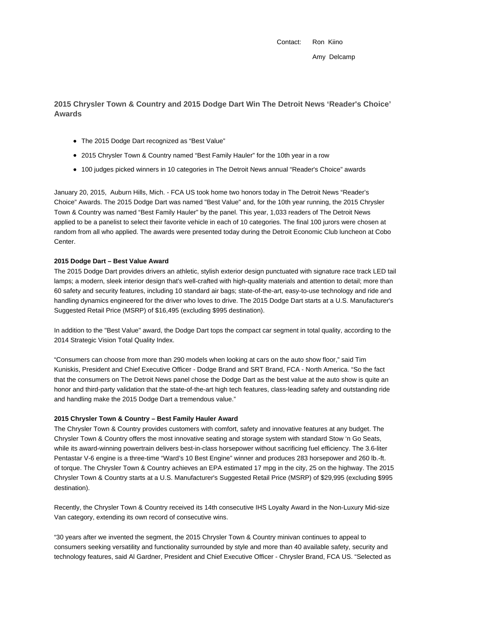Contact: Ron Kiino Amy Delcamp

**2015 Chrysler Town & Country and 2015 Dodge Dart Win The Detroit News 'Reader's Choice' Awards**

- The 2015 Dodge Dart recognized as "Best Value"
- 2015 Chrysler Town & Country named "Best Family Hauler" for the 10th year in a row
- 100 judges picked winners in 10 categories in The Detroit News annual "Reader's Choice" awards

January 20, 2015, Auburn Hills, Mich. - FCA US took home two honors today in The Detroit News "Reader's Choice" Awards. The 2015 Dodge Dart was named "Best Value" and, for the 10th year running, the 2015 Chrysler Town & Country was named "Best Family Hauler" by the panel. This year, 1,033 readers of The Detroit News applied to be a panelist to select their favorite vehicle in each of 10 categories. The final 100 jurors were chosen at random from all who applied. The awards were presented today during the Detroit Economic Club luncheon at Cobo Center.

## **2015 Dodge Dart – Best Value Award**

The 2015 Dodge Dart provides drivers an athletic, stylish exterior design punctuated with signature race track LED tail lamps; a modern, sleek interior design that's well-crafted with high-quality materials and attention to detail; more than 60 safety and security features, including 10 standard air bags; state-of-the-art, easy-to-use technology and ride and handling dynamics engineered for the driver who loves to drive. The 2015 Dodge Dart starts at a U.S. Manufacturer's Suggested Retail Price (MSRP) of \$16,495 (excluding \$995 destination).

In addition to the "Best Value" award, the Dodge Dart tops the compact car segment in total quality, according to the 2014 Strategic Vision Total Quality Index.

"Consumers can choose from more than 290 models when looking at cars on the auto show floor," said Tim Kuniskis, President and Chief Executive Officer - Dodge Brand and SRT Brand, FCA - North America. "So the fact that the consumers on The Detroit News panel chose the Dodge Dart as the best value at the auto show is quite an honor and third-party validation that the state-of-the-art high tech features, class-leading safety and outstanding ride and handling make the 2015 Dodge Dart a tremendous value."

## **2015 Chrysler Town & Country – Best Family Hauler Award**

The Chrysler Town & Country provides customers with comfort, safety and innovative features at any budget. The Chrysler Town & Country offers the most innovative seating and storage system with standard Stow 'n Go Seats, while its award-winning powertrain delivers best-in-class horsepower without sacrificing fuel efficiency. The 3.6-liter Pentastar V-6 engine is a three-time "Ward's 10 Best Engine" winner and produces 283 horsepower and 260 lb.-ft. of torque. The Chrysler Town & Country achieves an EPA estimated 17 mpg in the city, 25 on the highway. The 2015 Chrysler Town & Country starts at a U.S. Manufacturer's Suggested Retail Price (MSRP) of \$29,995 (excluding \$995 destination).

Recently, the Chrysler Town & Country received its 14th consecutive IHS Loyalty Award in the Non-Luxury Mid-size Van category, extending its own record of consecutive wins.

"30 years after we invented the segment, the 2015 Chrysler Town & Country minivan continues to appeal to consumers seeking versatility and functionality surrounded by style and more than 40 available safety, security and technology features, said Al Gardner, President and Chief Executive Officer - Chrysler Brand, FCA US. "Selected as